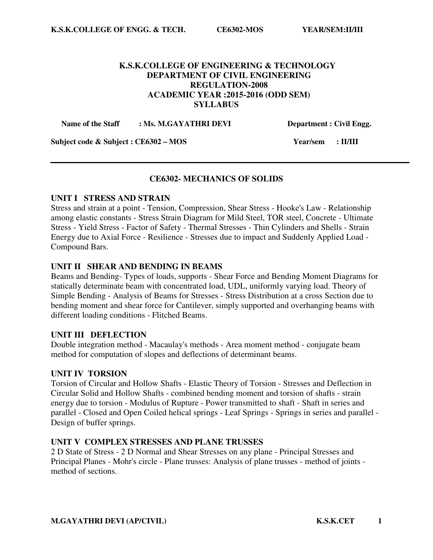## **K.S.K.COLLEGE OF ENGINEERING & TECHNOLOGY DEPARTMENT OF CIVIL ENGINEERING REGULATION-2008 ACADEMIC YEAR :2015-2016 (ODD SEM) SYLLABUS**

Name of the Staff : Ms. M.GAYATHRI DEVI Department : Civil Engg.

**Subject code & Subject : CE6302 – MOS Year/sem : II/III** 

## **CE6302- MECHANICS OF SOLIDS**

#### **UNIT I STRESS AND STRAIN**

Stress and strain at a point - Tension, Compression, Shear Stress - Hooke's Law - Relationship among elastic constants - Stress Strain Diagram for Mild Steel, TOR steel, Concrete - Ultimate Stress - Yield Stress - Factor of Safety - Thermal Stresses - Thin Cylinders and Shells - Strain Energy due to Axial Force - Resilience - Stresses due to impact and Suddenly Applied Load - Compound Bars.

#### **UNIT II SHEAR AND BENDING IN BEAMS**

Beams and Bending- Types of loads, supports - Shear Force and Bending Moment Diagrams for statically determinate beam with concentrated load, UDL, uniformly varying load. Theory of Simple Bending - Analysis of Beams for Stresses - Stress Distribution at a cross Section due to bending moment and shear force for Cantilever, simply supported and overhanging beams with different loading conditions - Flitched Beams.

#### **UNIT III DEFLECTION**

Double integration method - Macaulay's methods - Area moment method - conjugate beam method for computation of slopes and deflections of determinant beams.

#### **UNIT IV TORSION**

Torsion of Circular and Hollow Shafts - Elastic Theory of Torsion - Stresses and Deflection in Circular Solid and Hollow Shafts - combined bending moment and torsion of shafts - strain energy due to torsion - Modulus of Rupture - Power transmitted to shaft - Shaft in series and parallel - Closed and Open Coiled helical springs - Leaf Springs - Springs in series and parallel - Design of buffer springs.

## **UNIT V COMPLEX STRESSES AND PLANE TRUSSES**

2 D State of Stress - 2 D Normal and Shear Stresses on any plane - Principal Stresses and Principal Planes - Mohr's circle - Plane trusses: Analysis of plane trusses - method of joints method of sections.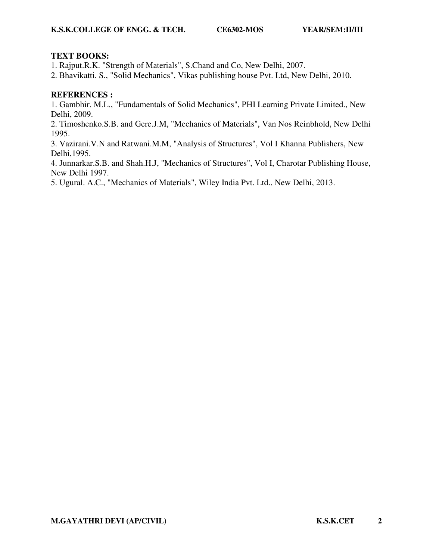## **TEXT BOOKS:**

1. Rajput.R.K. "Strength of Materials", S.Chand and Co, New Delhi, 2007.

2. Bhavikatti. S., "Solid Mechanics", Vikas publishing house Pvt. Ltd, New Delhi, 2010.

## **REFERENCES :**

1. Gambhir. M.L., "Fundamentals of Solid Mechanics", PHI Learning Private Limited., New Delhi, 2009.

2. Timoshenko.S.B. and Gere.J.M, "Mechanics of Materials", Van Nos Reinbhold, New Delhi 1995.

3. Vazirani.V.N and Ratwani.M.M, "Analysis of Structures", Vol I Khanna Publishers, New Delhi,1995.

4. Junnarkar.S.B. and Shah.H.J, "Mechanics of Structures", Vol I, Charotar Publishing House, New Delhi 1997.

5. Ugural. A.C., "Mechanics of Materials", Wiley India Pvt. Ltd., New Delhi, 2013.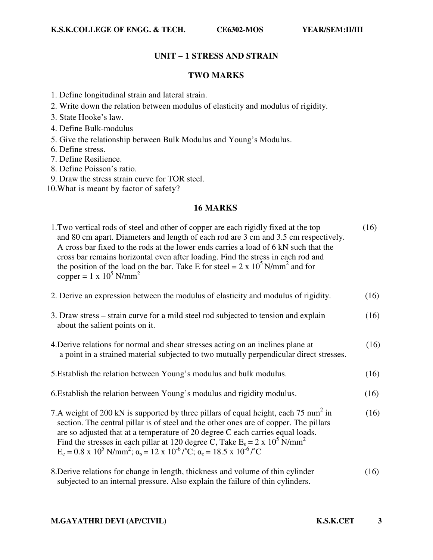## **UNIT – 1 STRESS AND STRAIN**

## **TWO MARKS**

- 1. Define longitudinal strain and lateral strain.
- 2. Write down the relation between modulus of elasticity and modulus of rigidity.
- 3. State Hooke's law.
- 4. Define Bulk-modulus
- 5. Give the relationship between Bulk Modulus and Young's Modulus.
- 6. Define stress.
- 7. Define Resilience.
- 8. Define Poisson's ratio.
- 9. Draw the stress strain curve for TOR steel.
- 10.What is meant by factor of safety?

## **16 MARKS**

| 1. Two vertical rods of steel and other of copper are each rigidly fixed at the top<br>and 80 cm apart. Diameters and length of each rod are 3 cm and 3.5 cm respectively.<br>A cross bar fixed to the rods at the lower ends carries a load of 6 kN such that the<br>cross bar remains horizontal even after loading. Find the stress in each rod and<br>the position of the load on the bar. Take E for steel = $2 \times 10^5$ N/mm <sup>2</sup> and for<br>copper = $1 \times 10^5$ N/mm <sup>2</sup>                 | (16) |
|---------------------------------------------------------------------------------------------------------------------------------------------------------------------------------------------------------------------------------------------------------------------------------------------------------------------------------------------------------------------------------------------------------------------------------------------------------------------------------------------------------------------------|------|
| 2. Derive an expression between the modulus of elasticity and modulus of rigidity.                                                                                                                                                                                                                                                                                                                                                                                                                                        | (16) |
| 3. Draw stress – strain curve for a mild steel rod subjected to tension and explain<br>about the salient points on it.                                                                                                                                                                                                                                                                                                                                                                                                    | (16) |
| 4. Derive relations for normal and shear stresses acting on an inclines plane at<br>a point in a strained material subjected to two mutually perpendicular direct stresses.                                                                                                                                                                                                                                                                                                                                               | (16) |
| 5. Establish the relation between Young's modulus and bulk modulus.                                                                                                                                                                                                                                                                                                                                                                                                                                                       | (16) |
| 6. Establish the relation between Young's modulus and rigidity modulus.                                                                                                                                                                                                                                                                                                                                                                                                                                                   | (16) |
| 7.A weight of 200 kN is supported by three pillars of equal height, each 75 mm <sup>2</sup> in<br>section. The central pillar is of steel and the other ones are of copper. The pillars<br>are so adjusted that at a temperature of 20 degree C each carries equal loads.<br>Find the stresses in each pillar at 120 degree C, Take $E_s = 2 \times 10^5$ N/mm <sup>2</sup><br>$E_c = 0.8 \times 10^5$ N/mm <sup>2</sup> ; $\alpha_s = 12 \times 10^{-6}$ / $^{\circ}$ C; $\alpha_c = 18.5 \times 10^{-6}$ / $^{\circ}$ C | (16) |
| 8. Derive relations for change in length, thickness and volume of thin cylinder<br>subjected to an internal pressure. Also explain the failure of thin cylinders.                                                                                                                                                                                                                                                                                                                                                         | (16) |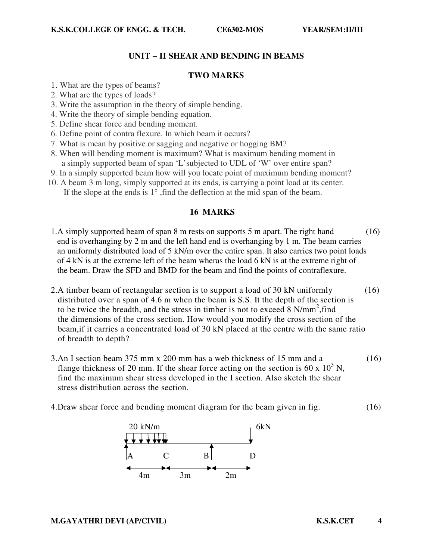## **UNIT – II SHEAR AND BENDING IN BEAMS**

#### **TWO MARKS**

- 1. What are the types of beams?
- 2. What are the types of loads?
- 3. Write the assumption in the theory of simple bending.
- 4. Write the theory of simple bending equation.
- 5. Define shear force and bending moment.
- 6. Define point of contra flexure. In which beam it occurs?
- 7. What is mean by positive or sagging and negative or hogging BM?
- 8. When will bending moment is maximum? What is maximum bending moment in a simply supported beam of span 'L'subjected to UDL of 'W' over entire span?
- 9. In a simply supported beam how will you locate point of maximum bending moment?
- 10. A beam 3 m long, simply supported at its ends, is carrying a point load at its center. If the slope at the ends is  $1^\circ$ , find the deflection at the mid span of the beam.

## **16 MARKS**

- 1.A simply supported beam of span 8 m rests on supports 5 m apart. The right hand (16) end is overhanging by 2 m and the left hand end is overhanging by 1 m. The beam carries an uniformly distributed load of 5 kN/m over the entire span. It also carries two point loads of 4 kN is at the extreme left of the beam wheras the load 6 kN is at the extreme right of the beam. Draw the SFD and BMD for the beam and find the points of contraflexure.
- 2.A timber beam of rectangular section is to support a load of 30 kN uniformly (16) distributed over a span of 4.6 m when the beam is S.S. It the depth of the section is to be twice the breadth, and the stress in timber is not to exceed 8 N/mm<sup>2</sup>, find the dimensions of the cross section. How would you modify the cross section of the beam,if it carries a concentrated load of 30 kN placed at the centre with the same ratio of breadth to depth?
- 3.An I section beam 375 mm x 200 mm has a web thickness of 15 mm and a (16) flange thickness of 20 mm. If the shear force acting on the section is 60 x  $10^3$  N, find the maximum shear stress developed in the I section. Also sketch the shear stress distribution across the section.
- 4.Draw shear force and bending moment diagram for the beam given in fig. (16)

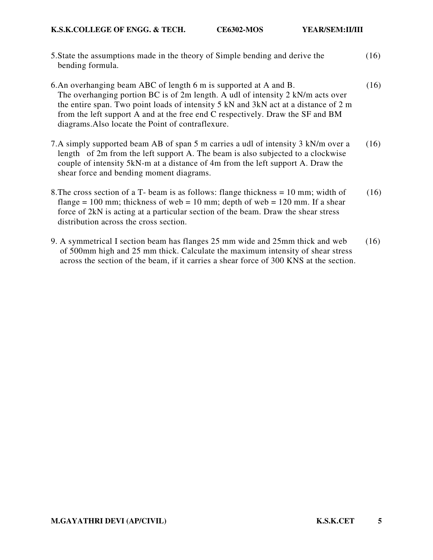- 5.State the assumptions made in the theory of Simple bending and derive the (16) bending formula.
- 6.An overhanging beam ABC of length 6 m is supported at A and B. (16) The overhanging portion BC is of 2m length. A udl of intensity 2 kN/m acts over the entire span. Two point loads of intensity 5 kN and 3kN act at a distance of 2 m from the left support A and at the free end C respectively. Draw the SF and BM diagrams.Also locate the Point of contraflexure.
- 7.A simply supported beam AB of span 5 m carries a udl of intensity 3 kN/m over a (16) length of 2m from the left support A. The beam is also subjected to a clockwise couple of intensity 5kN-m at a distance of 4m from the left support A. Draw the shear force and bending moment diagrams.
- 8. The cross section of a T- beam is as follows: flange thickness  $= 10$  mm; width of (16) flange = 100 mm; thickness of web = 10 mm; depth of web = 120 mm. If a shear force of 2kN is acting at a particular section of the beam. Draw the shear stress distribution across the cross section.
- 9. A symmetrical I section beam has flanges 25 mm wide and 25mm thick and web (16) of 500mm high and 25 mm thick. Calculate the maximum intensity of shear stress across the section of the beam, if it carries a shear force of 300 KNS at the section.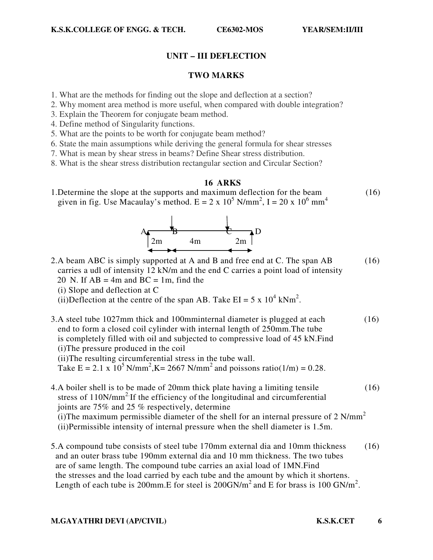## **UNIT – III DEFLECTION**

#### **TWO MARKS**

- 1. What are the methods for finding out the slope and deflection at a section?
- 2. Why moment area method is more useful, when compared with double integration?
- 3. Explain the Theorem for conjugate beam method.
- 4. Define method of Singularity functions.
- 5. What are the points to be worth for conjugate beam method?
- 6. State the main assumptions while deriving the general formula for shear stresses
- 7. What is mean by shear stress in beams? Define Shear stress distribution.
- 8. What is the shear stress distribution rectangular section and Circular Section?

## **16 ARKS**

1.Determine the slope at the supports and maximum deflection for the beam (16) given in fig. Use Macaulay's method.  $E = 2 \times 10^5$  N/mm<sup>2</sup>, I = 20 x 10<sup>6</sup> mm<sup>4</sup>



- 2.A beam ABC is simply supported at A and B and free end at C. The span AB (16) carries a udl of intensity 12 kN/m and the end C carries a point load of intensity
	- 20 N. If  $AB = 4m$  and  $BC = 1m$ , find the
	- (i) Slope and deflection at C

(ii)Deflection at the centre of the span AB. Take  $EI = 5 \times 10^4$  kNm<sup>2</sup>.

3.A steel tube 1027mm thick and 100mminternal diameter is plugged at each (16) end to form a closed coil cylinder with internal length of 250mm.The tube is completely filled with oil and subjected to compressive load of 45 kN.Find (i)The pressure produced in the coil

(ii)The resulting circumferential stress in the tube wall.

Take  $E = 2.1 \times 10^5 \text{ N/mm}^2$ ,  $K = 2667 \text{ N/mm}^2$  and poissons ratio(1/m) = 0.28.

- 4.A boiler shell is to be made of 20mm thick plate having a limiting tensile (16) stress of  $110N/mm^2$  If the efficiency of the longitudinal and circumferential joints are 75% and 25 % respectively, determine (i)The maximum permissible diameter of the shell for an internal pressure of 2  $N/mm<sup>2</sup>$ (ii)Permissible intensity of internal pressure when the shell diameter is 1.5m.
- 5.A compound tube consists of steel tube 170mm external dia and 10mm thickness (16) and an outer brass tube 190mm external dia and 10 mm thickness. The two tubes are of same length. The compound tube carries an axial load of 1MN.Find the stresses and the load carried by each tube and the amount by which it shortens. Length of each tube is 200mm. E for steel is  $200$  GN/m<sup>2</sup> and E for brass is 100 GN/m<sup>2</sup>.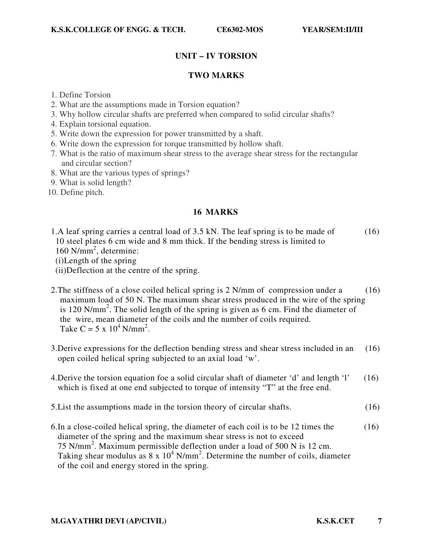# **UNIT – IV TORSION**

## **TWO MARKS**

- 1. Define Torsion
- 2. What are the assumptions made in Torsion equation?
- 3. Why hollow circular shafts are preferred when compared to solid circular shafts?
- 4. Explain torsional equation.
- 5. Write down the expression for power transmitted by a shaft.
- 6. Write down the expression for torque transmitted by hollow shaft.
- 7. What is the ratio of maximum shear stress to the average shear stress for the rectangular and circular section?
- 8. What are the various types of springs?
- 9. What is solid length?
- 10. Define pitch.

## **16 MARKS**

1.A leaf spring carries a central load of 3.5 kN. The leaf spring is to be made of (16) 10 steel plates 6 cm wide and 8 mm thick. If the bending stress is limited to 160 N/mm<sup>2</sup>, determine:

(i)Length of the spring

- (ii)Deflection at the centre of the spring.
- 2. The stiffness of a close coiled helical spring is 2 N/mm of compression under a (16) maximum load of 50 N. The maximum shear stress produced in the wire of the spring is 120 N/mm<sup>2</sup>. The solid length of the spring is given as 6 cm. Find the diameter of the wire, mean diameter of the coils and the number of coils required. Take C =  $5 \times 10^4$  N/mm<sup>2</sup>.
- 3.Derive expressions for the deflection bending stress and shear stress included in an (16) open coiled helical spring subjected to an axial load 'w'.
- 4.Derive the torsion equation foe a solid circular shaft of diameter 'd' and length 'l' (16) which is fixed at one end subjected to torque of intensity "T" at the free end.
- 5.List the assumptions made in the torsion theory of circular shafts. (16)
- 6.In a close-coiled helical spring, the diameter of each coil is to be 12 times the (16) diameter of the spring and the maximum shear stress is not to exceed 75 N/mm<sup>2</sup> . Maximum permissible deflection under a load of 500 N is 12 cm. Taking shear modulus as  $8 \times 10^4$  N/mm<sup>2</sup>. Determine the number of coils, diameter of the coil and energy stored in the spring.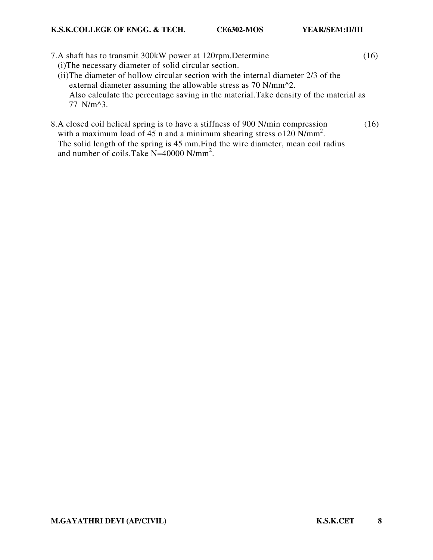- 7.A shaft has to transmit 300kW power at 120rpm.Determine (16) (i)The necessary diameter of solid circular section. (ii)The diameter of hollow circular section with the internal diameter 2/3 of the external diameter assuming the allowable stress as 70 N/mm^2. Also calculate the percentage saving in the material.Take density of the material as 77 N/m^3.
- 8.A closed coil helical spring is to have a stiffness of 900 N/min compression (16) with a maximum load of 45 n and a minimum shearing stress o120 N/mm<sup>2</sup>. The solid length of the spring is 45 mm.Find the wire diameter, mean coil radius and number of coils.Take N=40000 N/mm<sup>2</sup>.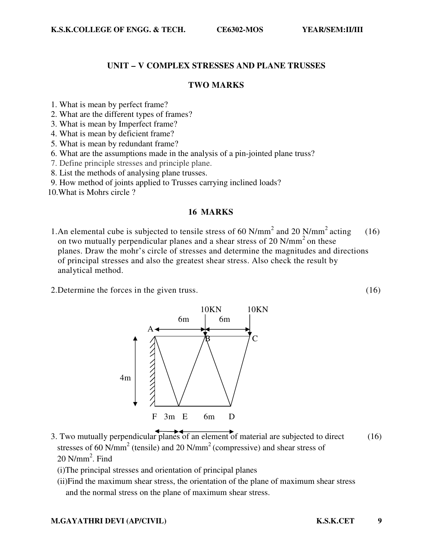#### **UNIT – V COMPLEX STRESSES AND PLANE TRUSSES**

## **TWO MARKS**

- 1. What is mean by perfect frame?
- 2. What are the different types of frames?
- 3. What is mean by Imperfect frame?
- 4. What is mean by deficient frame?
- 5. What is mean by redundant frame?
- 6. What are the assumptions made in the analysis of a pin-jointed plane truss?
- 7. Define principle stresses and principle plane.
- 8. List the methods of analysing plane trusses.
- 9. How method of joints applied to Trusses carrying inclined loads?
- 10.What is Mohrs circle ?

#### **16 MARKS**

- 1.An elemental cube is subjected to tensile stress of 60 N/mm<sup>2</sup> and 20 N/mm<sup>2</sup> acting (16) on two mutually perpendicular planes and a shear stress of 20  $N/mm<sup>2</sup>$  on these planes. Draw the mohr's circle of stresses and determine the magnitudes and directions of principal stresses and also the greatest shear stress. Also check the result by analytical method.
- 2.Determine the forces in the given truss. (16)



- 3. Two mutually perpendicular planes of an element of material are subjected to direct (16) stresses of 60 N/mm<sup>2</sup> (tensile) and 20 N/mm<sup>2</sup> (compressive) and shear stress of  $20$  N/mm<sup>2</sup>. Find
	- (i)The principal stresses and orientation of principal planes
	- (ii)Find the maximum shear stress, the orientation of the plane of maximum shear stress and the normal stress on the plane of maximum shear stress.

#### **M.GAYATHRI DEVI (AP/CIVIL) K.S.K.CET 9**